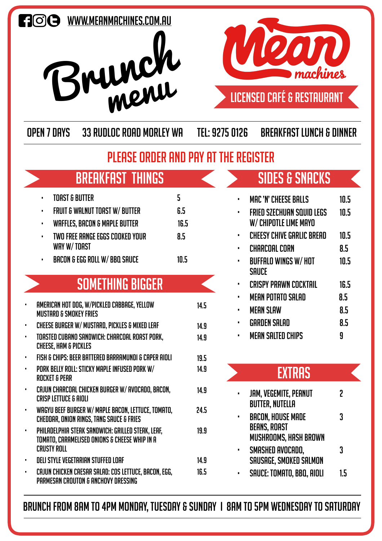





## LICENSED CAFÉ & RESTAURANT

Open 7 Days 33 Rudloc Road Morley WA Tel: 9275 0126 Breakfast lunch & dinner

### PLEASE ORDER AND PAY AT THE REGISTER

# **BREAKFAST THINGS**

|    | ٠              | <b>TOAST &amp; BUTTER</b>                                                                                                | 5    |      |
|----|----------------|--------------------------------------------------------------------------------------------------------------------------|------|------|
|    | ٠              | <b>FRUIT &amp; WALNUT TOAST W/ BUTTER</b>                                                                                | 6.5  |      |
|    | ٠              | <b>WAFFLES, BACON &amp; MAPLE BUTTER</b>                                                                                 | 16.5 |      |
|    | $\blacksquare$ | TWO FREE RANGE EGGS COOKED YOUR<br>WAY W/TOAST                                                                           | 8.5  |      |
|    |                | <b>BACON &amp; EGG ROLL W/ BBQ SAUCE</b>                                                                                 | 10.5 |      |
|    |                | <b>SOMETHING BIGGER</b>                                                                                                  |      |      |
| ı  |                | AMERICAN HOT DOG, W/PICKLED CABBAGE, YELLOW<br><b>MUSTARD &amp; SMOKEY FRIES</b>                                         |      | 14.5 |
| ı  |                | CHEESE BURGER W/ MUSTARD, PICKLES & MIXED LEAF                                                                           |      | 14.9 |
| f, |                | TOASTED CUBANO SANDWICH: CHARCOAL ROAST PORK,<br><b>CHEESE, HAM &amp; PICKLES</b>                                        |      | 14.9 |
| п  |                | FISH & CHIPS: BEER BATTERED BARRAMUNDI & CAPER AIOLI                                                                     |      | 19.5 |
| ı  |                | PORK BELLY ROLL: STICKY MAPLE INFUSED PORK W/<br><b>ROCKET &amp; PEAR</b>                                                |      | 14.9 |
| ı  |                | CAJUN CHARCOAL CHICKEN BURGER W/ AVOCADO, BACON,<br><b>CRISP LETTUCE &amp; AIOLI</b>                                     |      | 14.9 |
| r  |                | WAGYU BEEF BURGER W/ MAPLE BACON, LETTUCE, TOMATO,<br>CHEDDAR, ONION RINGS, TANG SAUCE & FRIES                           |      | 24.5 |
| ı  |                | PHILADELPHIA STEAK SANDWICH: GRILLED STEAK, LEAF,<br>TOMATO, CARAMELISED ONIONS & CHEESE WHIP IN A<br><b>CRUSTY ROLL</b> |      | 19.9 |
|    |                | <b>DELI STYLE VEGETARIAN STUFFED LOAF</b>                                                                                |      | 14.9 |
| ı  |                | CAJUN CHICKEN CAESAR SALAD: COS LETTUCE, BACON, EGG,<br>PARMESAN CROUTON & ANCHOVY DRESSING                              |      | 16.5 |

# sides & snacks

|                | MAC 'N' CHEESE BALLS      | 10.5 |
|----------------|---------------------------|------|
| ٠              | FRIED SZECHUAN SQUID LEGS | 10.5 |
|                | W/ CHIPOTLE LIME MAYO     |      |
| п              | CHEESY CHIVE GARLIC BREAD | 10.5 |
| п              | <b>CHARCOAL CORN</b>      | 8.5  |
| $\blacksquare$ | BUFFALO WINGS W/ HOT      | 10.5 |
|                | SAUCE                     |      |
| п              | CRISPY PRAWN COCKTAIL     | 16.5 |
| п              | <b>MEAN POTATO SALAD</b>  | 8.5  |
| п              | <b>MEAN SLAW</b>          | 8.5  |
| п              | <b>GARDEN SALAD</b>       | 8.5  |
| п              | <b>MEAN SALTED CHIPS</b>  | 9    |

#### **EXTRAS**

| $\blacksquare$ | <b>JAM, VEGEMITE, PEANUT</b><br><b>BUTTER, NUTELLA</b>                          | 2  |
|----------------|---------------------------------------------------------------------------------|----|
| п              | <b>BACON, HOUSE MADE</b><br><b>BEANS, ROAST</b><br><b>MUSHROOMS, HASH BROWN</b> | 3  |
| п              | SMASHED AVOCADO,<br><b>SAUSAGE, SMOKED SALMON</b>                               | 3  |
| п              | SAUCE: TOMATO, BBQ, AIOLI                                                       | 15 |

BRUNCH FROM 8AM TO 4PM MONDAY, tuesday & Sunday I 8am to 5pm wednesday to Saturday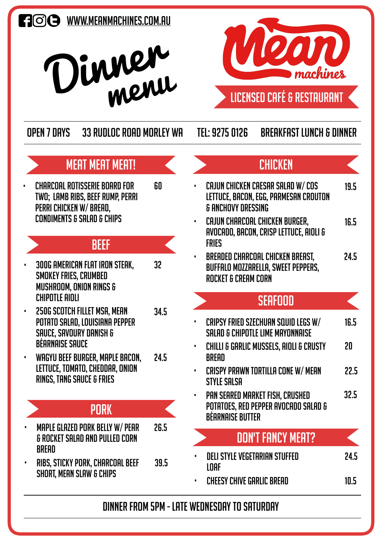## **FI©CO** WWW.MEANMACHINES.COM.AU





Open 7 Days 33 Rudloc Road Morley WA Tel: 9275 0126 Breakfast lunch & dinner

60

& ANCHOVY DRESSING

19.5

24.5

### meat meat meat!

• CHARCOAL ROTISSERIE BOARD FOR TWO; LAMB RIBS, BEEF RUMP, PERRI PERRI CHICKEN W/ BREAD, CONDIMENTS & SALAD & CHIPS

#### **BEEF**

- 300G AMERICAN FLAT IRON STEAK, SMOKEY FRIES, CRUMBED MUSHROOM, ONION RINGS & CHIPOTLE AIOLI 32
- 250G SCOTCH FILLET MSA, MEAN POTATO SALAD, LOUISIANA PEPPER SAUCE, SAVOURY DANISH & BÉARNAISE SAUCE 34.5
- WAGYU BEEF BURGER, MAPLE BACON, LETTUCE, TOMATO, CHEDDAR, ONION RINGS, TANG SAUCE & FRIES 24.5

### pork

- MAPLE GLAZED PORK BELLY W/ PEAR & ROCKET SALAD AND PULLED CORN **BRFAD** 26.5
- RIBS, STICKY PORK, CHARCOAL BEEF SHORT, MEAN SLAW & CHIPS 39.5

### • CAJUN CHICKEN CAeSAR SALAD W/ COS LETTUCE, BACON, EGG, PARMESAN CROUTON **CHICKEN**

- CAJUN CHARCOAL CHICKEN BURGER, AVOCADO, BACON, CRISP LETTUCE, AIOLI & **FRIFS** 16.5
- BREADED CHARCOAL CHICKEN BREAST, BUFFALO MOZZARELLA, SWEET PEPPERS, ROCKET & CREAM CORN 24.5

#### **SEAFOOD**

- CRIPSY FRIED SZECHUAN SQUID LEGS W/ SALAD & CHIPOTLE LIME Mayonnaise 16.5
- CHILLI & GARLIC MUSSELS, AIOLI & CRUSTY **BREAD** 20
- CRISPY PRAWN TORTILLA CONE W/ MEAN STYLE SALSA 22.5
- PAN SEARED MARKET FISH, CRUSHED POTATOES, RED PEPPER AVOCADO SALAD & BÉARNAISE BUTTER 32.5

## don't fancy meat?

- DELI STYLE VEGETARIAN STUFFED LOAF
- cheesy chive garlic bread 10.5

#### DINNER FROM 5PM - late WEDNESDAY TO Saturday